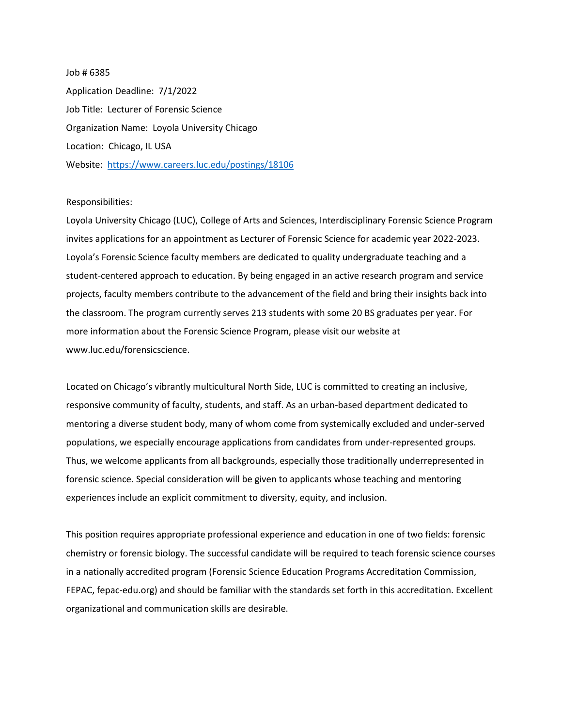## Job # 6385 Application Deadline: 7/1/2022 Job Title: Lecturer of Forensic Science Organization Name: Loyola University Chicago Location: Chicago, IL USA Website: <https://www.careers.luc.edu/postings/18106>

## Responsibilities:

Loyola University Chicago (LUC), College of Arts and Sciences, Interdisciplinary Forensic Science Program invites applications for an appointment as Lecturer of Forensic Science for academic year 2022-2023. Loyola's Forensic Science faculty members are dedicated to quality undergraduate teaching and a student-centered approach to education. By being engaged in an active research program and service projects, faculty members contribute to the advancement of the field and bring their insights back into the classroom. The program currently serves 213 students with some 20 BS graduates per year. For more information about the Forensic Science Program, please visit our website at www.luc.edu/forensicscience.

Located on Chicago's vibrantly multicultural North Side, LUC is committed to creating an inclusive, responsive community of faculty, students, and staff. As an urban-based department dedicated to mentoring a diverse student body, many of whom come from systemically excluded and under-served populations, we especially encourage applications from candidates from under-represented groups. Thus, we welcome applicants from all backgrounds, especially those traditionally underrepresented in forensic science. Special consideration will be given to applicants whose teaching and mentoring experiences include an explicit commitment to diversity, equity, and inclusion.

This position requires appropriate professional experience and education in one of two fields: forensic chemistry or forensic biology. The successful candidate will be required to teach forensic science courses in a nationally accredited program (Forensic Science Education Programs Accreditation Commission, FEPAC, fepac-edu.org) and should be familiar with the standards set forth in this accreditation. Excellent organizational and communication skills are desirable.